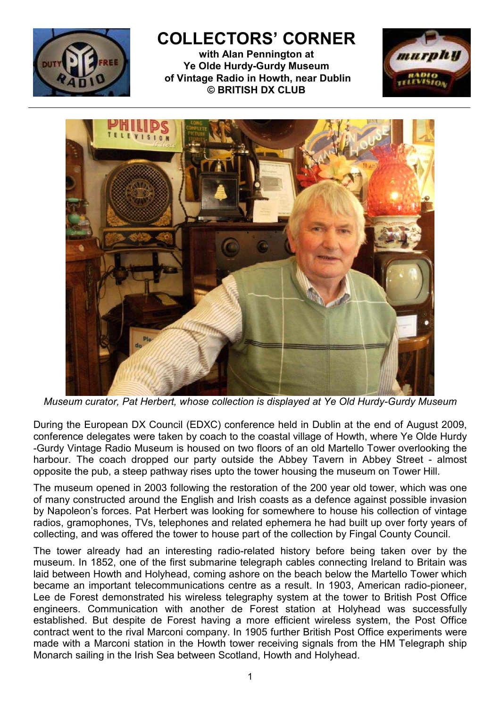

## COLLECTORS' CORNER

with Alan Pennington at Ye Olde Hurdy-Gurdy Museum of Vintage Radio in Howth, near Dublin © BRITISH DX CLUB





Museum curator, Pat Herbert, whose collection is displayed at Ye Old Hurdy-Gurdy Museum

During the European DX Council (EDXC) conference held in Dublin at the end of August 2009, conference delegates were taken by coach to the coastal village of Howth, where Ye Olde Hurdy -Gurdy Vintage Radio Museum is housed on two floors of an old Martello Tower overlooking the harbour. The coach dropped our party outside the Abbey Tavern in Abbey Street - almost opposite the pub, a steep pathway rises upto the tower housing the museum on Tower Hill.

The museum opened in 2003 following the restoration of the 200 year old tower, which was one of many constructed around the English and Irish coasts as a defence against possible invasion by Napoleon's forces. Pat Herbert was looking for somewhere to house his collection of vintage radios, gramophones, TVs, telephones and related ephemera he had built up over forty years of collecting, and was offered the tower to house part of the collection by Fingal County Council.

The tower already had an interesting radio-related history before being taken over by the museum. In 1852, one of the first submarine telegraph cables connecting Ireland to Britain was laid between Howth and Holyhead, coming ashore on the beach below the Martello Tower which became an important telecommunications centre as a result. In 1903, American radio-pioneer, Lee de Forest demonstrated his wireless telegraphy system at the tower to British Post Office engineers. Communication with another de Forest station at Holyhead was successfully established. But despite de Forest having a more efficient wireless system, the Post Office contract went to the rival Marconi company. In 1905 further British Post Office experiments were made with a Marconi station in the Howth tower receiving signals from the HM Telegraph ship Monarch sailing in the Irish Sea between Scotland, Howth and Holyhead.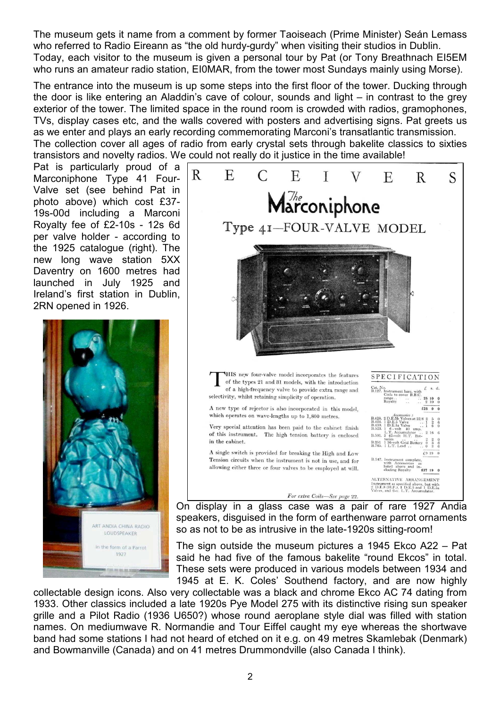The museum gets it name from a comment by former Taoiseach (Prime Minister) Seán Lemass who referred to Radio Eireann as "the old hurdy-gurdy" when visiting their studios in Dublin. Today, each visitor to the museum is given a personal tour by Pat (or Tony Breathnach EI5EM who runs an amateur radio station, EI0MAR, from the tower most Sundays mainly using Morse).

The entrance into the museum is up some steps into the first floor of the tower. Ducking through the door is like entering an Aladdin's cave of colour, sounds and light – in contrast to the grey exterior of the tower. The limited space in the round room is crowded with radios, gramophones, TVs, display cases etc, and the walls covered with posters and advertising signs. Pat greets us as we enter and plays an early recording commemorating Marconi's transatlantic transmission. The collection cover all ages of radio from early crystal sets through bakelite classics to sixties transistors and novelty radios. We could not really do it justice in the time available!

Pat is particularly proud of a Marconiphone Type 41 Four-Valve set (see behind Pat in photo above) which cost £37- 19s-00d including a Marconi Royalty fee of £2-10s - 12s 6d per valve holder - according to the 1925 catalogue (right). The new long wave station 5XX Daventry on 1600 metres had launched in July 1925 and Ireland's first station in Dublin, 2RN opened in 1926.





speakers, disguised in the form of earthenware parrot ornaments so as not to be as intrusive in the late-1920s sitting-room!

The sign outside the museum pictures a 1945 Ekco A22 – Pat said he had five of the famous bakelite "round Ekcos" in total. These sets were produced in various models between 1934 and 1945 at E. K. Coles' Southend factory, and are now highly

collectable design icons. Also very collectable was a black and chrome Ekco AC 74 dating from 1933. Other classics included a late 1920s Pye Model 275 with its distinctive rising sun speaker grille and a Pilot Radio (1936 U650?) whose round aeroplane style dial was filled with station names. On mediumwave R. Normandie and Tour Eiffel caught my eye whereas the shortwave band had some stations I had not heard of etched on it e.g. on 49 metres Skamlebak (Denmark) and Bowmanville (Canada) and on 41 metres Drummondville (also Canada I think).